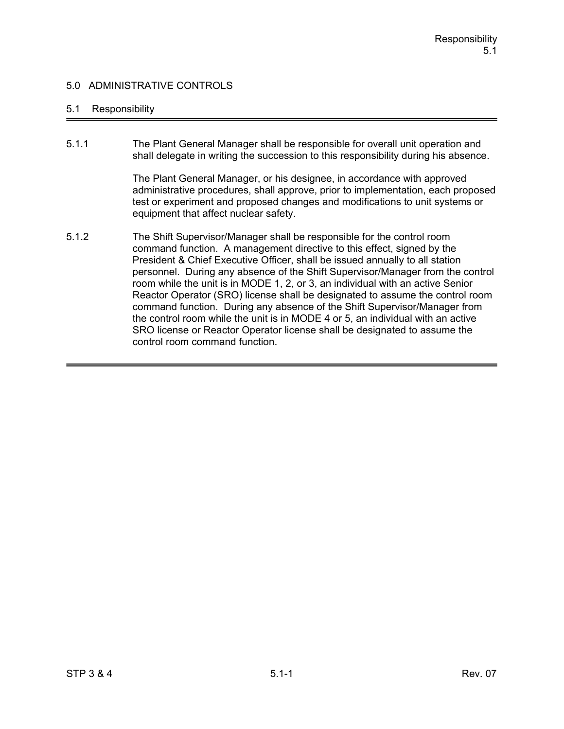### 5.1 Responsibility

5.1.1 The Plant General Manager shall be responsible for overall unit operation and shall delegate in writing the succession to this responsibility during his absence.

> The Plant General Manager, or his designee, in accordance with approved administrative procedures, shall approve, prior to implementation, each proposed test or experiment and proposed changes and modifications to unit systems or equipment that affect nuclear safety.

5.1.2 The Shift Supervisor/Manager shall be responsible for the control room command function. A management directive to this effect, signed by the President & Chief Executive Officer, shall be issued annually to all station personnel. During any absence of the Shift Supervisor/Manager from the control room while the unit is in MODE 1, 2, or 3, an individual with an active Senior Reactor Operator (SRO) license shall be designated to assume the control room command function. During any absence of the Shift Supervisor/Manager from the control room while the unit is in MODE 4 or 5, an individual with an active SRO license or Reactor Operator license shall be designated to assume the control room command function.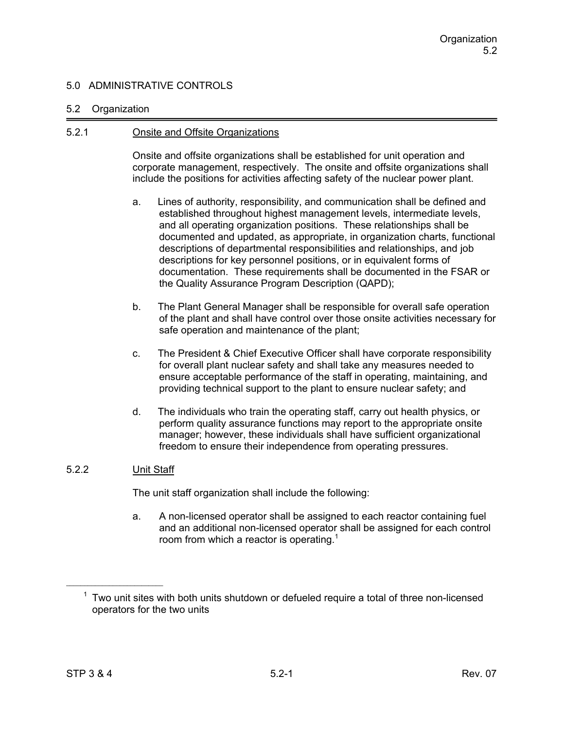#### 5.2 Organization

#### 5.2.1 Onsite and Offsite Organizations

Onsite and offsite organizations shall be established for unit operation and corporate management, respectively. The onsite and offsite organizations shall include the positions for activities affecting safety of the nuclear power plant.

- a. Lines of authority, responsibility, and communication shall be defined and established throughout highest management levels, intermediate levels, and all operating organization positions. These relationships shall be documented and updated, as appropriate, in organization charts, functional descriptions of departmental responsibilities and relationships, and job descriptions for key personnel positions, or in equivalent forms of documentation. These requirements shall be documented in the FSAR or the Quality Assurance Program Description (QAPD);
- b. The Plant General Manager shall be responsible for overall safe operation of the plant and shall have control over those onsite activities necessary for safe operation and maintenance of the plant;
- c. The President & Chief Executive Officer shall have corporate responsibility for overall plant nuclear safety and shall take any measures needed to ensure acceptable performance of the staff in operating, maintaining, and providing technical support to the plant to ensure nuclear safety; and
- d. The individuals who train the operating staff, carry out health physics, or perform quality assurance functions may report to the appropriate onsite manager; however, these individuals shall have sufficient organizational freedom to ensure their independence from operating pressures.

## 5.2.2 Unit Staff

The unit staff organization shall include the following:

a. A non-licensed operator shall be assigned to each reactor containing fuel and an additional non-licensed operator shall be assigned for each control room from which a reactor is operating.<sup>1</sup>

 $1$  Two unit sites with both units shutdown or defueled require a total of three non-licensed operators for the two units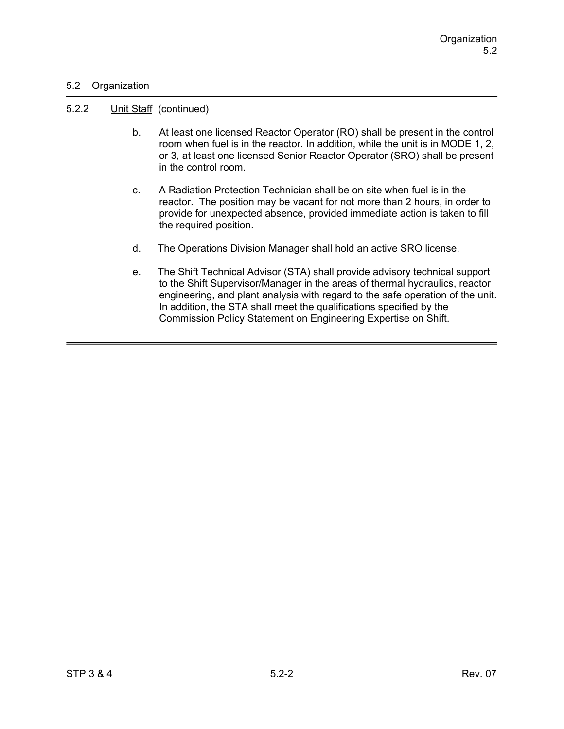## 5.2 Organization

#### 5.2.2 Unit Staff (continued)

- b. At least one licensed Reactor Operator (RO) shall be present in the control room when fuel is in the reactor. In addition, while the unit is in MODE 1, 2, or 3, at least one licensed Senior Reactor Operator (SRO) shall be present in the control room.
- c. A Radiation Protection Technician shall be on site when fuel is in the reactor. The position may be vacant for not more than 2 hours, in order to provide for unexpected absence, provided immediate action is taken to fill the required position.
- d. The Operations Division Manager shall hold an active SRO license.
- e. The Shift Technical Advisor (STA) shall provide advisory technical support to the Shift Supervisor/Manager in the areas of thermal hydraulics, reactor engineering, and plant analysis with regard to the safe operation of the unit. In addition, the STA shall meet the qualifications specified by the Commission Policy Statement on Engineering Expertise on Shift.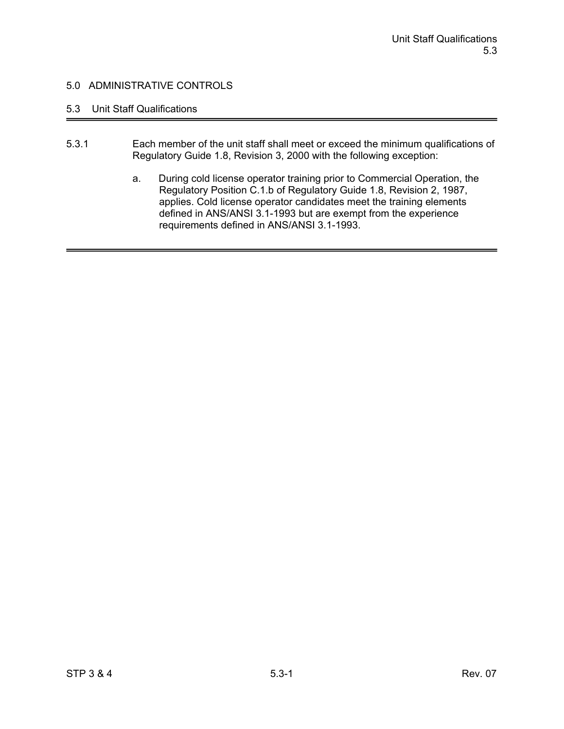# 5.3 Unit Staff Qualifications

- 5.3.1 Each member of the unit staff shall meet or exceed the minimum qualifications of Regulatory Guide 1.8, Revision 3, 2000 with the following exception:
	- a. During cold license operator training prior to Commercial Operation, the Regulatory Position C.1.b of Regulatory Guide 1.8, Revision 2, 1987, applies. Cold license operator candidates meet the training elements defined in ANS/ANSI 3.1-1993 but are exempt from the experience requirements defined in ANS/ANSI 3.1-1993.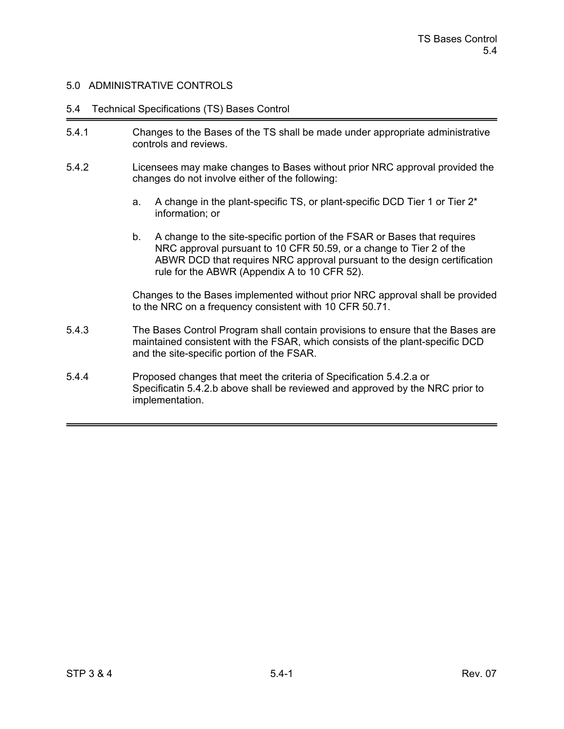#### 5.4 Technical Specifications (TS) Bases Control

- 5.4.1 Changes to the Bases of the TS shall be made under appropriate administrative controls and reviews.
- 5.4.2 Licensees may make changes to Bases without prior NRC approval provided the changes do not involve either of the following:
	- a. A change in the plant-specific TS, or plant-specific DCD Tier 1 or Tier 2\* information; or
	- b. A change to the site-specific portion of the FSAR or Bases that requires NRC approval pursuant to 10 CFR 50.59, or a change to Tier 2 of the ABWR DCD that requires NRC approval pursuant to the design certification rule for the ABWR (Appendix A to 10 CFR 52).

Changes to the Bases implemented without prior NRC approval shall be provided to the NRC on a frequency consistent with 10 CFR 50.71.

- 5.4.3 The Bases Control Program shall contain provisions to ensure that the Bases are maintained consistent with the FSAR, which consists of the plant-specific DCD and the site-specific portion of the FSAR.
- 5.4.4 Proposed changes that meet the criteria of Specification 5.4.2.a or Specificatin 5.4.2.b above shall be reviewed and approved by the NRC prior to implementation.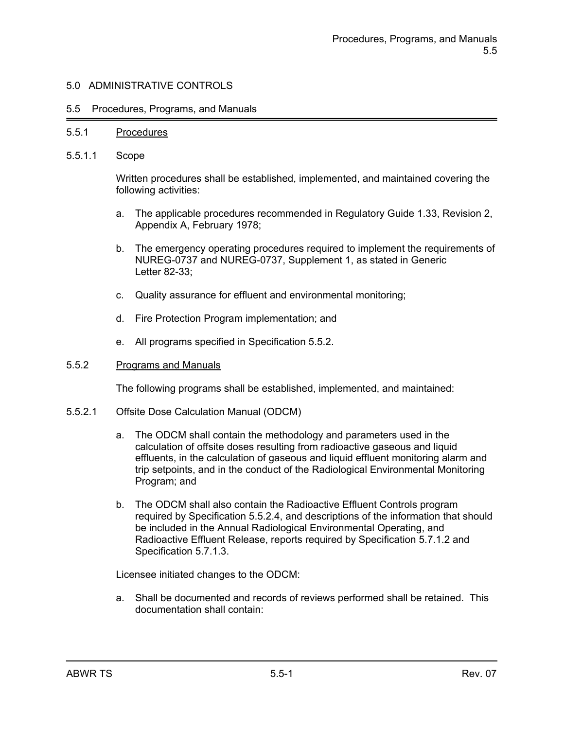#### 5.5 Procedures, Programs, and Manuals

#### 5.5.1 Procedures

5.5.1.1 Scope

Written procedures shall be established, implemented, and maintained covering the following activities:

- a. The applicable procedures recommended in Regulatory Guide 1.33, Revision 2, Appendix A, February 1978;
- b. The emergency operating procedures required to implement the requirements of NUREG-0737 and NUREG-0737, Supplement 1, as stated in Generic Letter 82-33;
- c. Quality assurance for effluent and environmental monitoring;
- d. Fire Protection Program implementation; and
- e. All programs specified in Specification 5.5.2.

#### 5.5.2 Programs and Manuals

The following programs shall be established, implemented, and maintained:

- 5.5.2.1 Offsite Dose Calculation Manual (ODCM)
	- a. The ODCM shall contain the methodology and parameters used in the calculation of offsite doses resulting from radioactive gaseous and liquid effluents, in the calculation of gaseous and liquid effluent monitoring alarm and trip setpoints, and in the conduct of the Radiological Environmental Monitoring Program; and
	- b. The ODCM shall also contain the Radioactive Effluent Controls program required by Specification 5.5.2.4, and descriptions of the information that should be included in the Annual Radiological Environmental Operating, and Radioactive Effluent Release, reports required by Specification 5.7.1.2 and Specification 5.7.1.3.

Licensee initiated changes to the ODCM:

a. Shall be documented and records of reviews performed shall be retained. This documentation shall contain: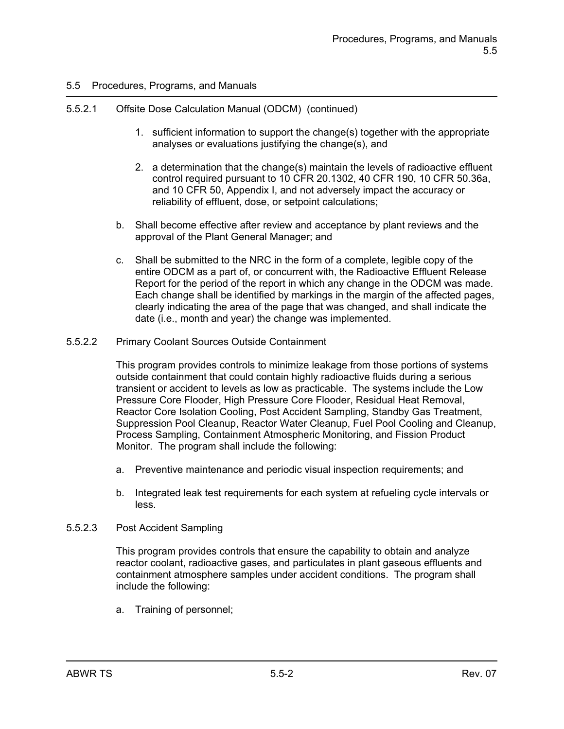## 5.5.2.1 Offsite Dose Calculation Manual (ODCM) (continued)

- 1. sufficient information to support the change(s) together with the appropriate analyses or evaluations justifying the change(s), and
- 2. a determination that the change(s) maintain the levels of radioactive effluent control required pursuant to 10 CFR 20.1302, 40 CFR 190, 10 CFR 50.36a, and 10 CFR 50, Appendix I, and not adversely impact the accuracy or reliability of effluent, dose, or setpoint calculations;
- b. Shall become effective after review and acceptance by plant reviews and the approval of the Plant General Manager; and
- c. Shall be submitted to the NRC in the form of a complete, legible copy of the entire ODCM as a part of, or concurrent with, the Radioactive Effluent Release Report for the period of the report in which any change in the ODCM was made. Each change shall be identified by markings in the margin of the affected pages, clearly indicating the area of the page that was changed, and shall indicate the date (i.e., month and year) the change was implemented.
- 5.5.2.2 Primary Coolant Sources Outside Containment

This program provides controls to minimize leakage from those portions of systems outside containment that could contain highly radioactive fluids during a serious transient or accident to levels as low as practicable. The systems include the Low Pressure Core Flooder, High Pressure Core Flooder, Residual Heat Removal, Reactor Core Isolation Cooling, Post Accident Sampling, Standby Gas Treatment, Suppression Pool Cleanup, Reactor Water Cleanup, Fuel Pool Cooling and Cleanup, Process Sampling, Containment Atmospheric Monitoring, and Fission Product Monitor. The program shall include the following:

- a. Preventive maintenance and periodic visual inspection requirements; and
- b. Integrated leak test requirements for each system at refueling cycle intervals or less.
- 5.5.2.3 Post Accident Sampling

This program provides controls that ensure the capability to obtain and analyze reactor coolant, radioactive gases, and particulates in plant gaseous effluents and containment atmosphere samples under accident conditions. The program shall include the following:

a. Training of personnel;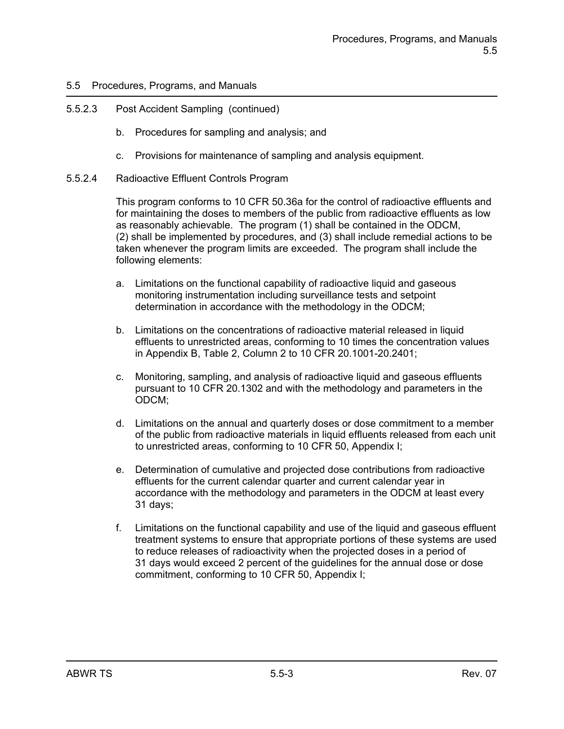## 5.5.2.3 Post Accident Sampling (continued)

- b. Procedures for sampling and analysis; and
- c. Provisions for maintenance of sampling and analysis equipment.
- 5.5.2.4 Radioactive Effluent Controls Program

This program conforms to 10 CFR 50.36a for the control of radioactive effluents and for maintaining the doses to members of the public from radioactive effluents as low as reasonably achievable. The program (1) shall be contained in the ODCM, (2) shall be implemented by procedures, and (3) shall include remedial actions to be taken whenever the program limits are exceeded. The program shall include the following elements:

- a. Limitations on the functional capability of radioactive liquid and gaseous monitoring instrumentation including surveillance tests and setpoint determination in accordance with the methodology in the ODCM;
- b. Limitations on the concentrations of radioactive material released in liquid effluents to unrestricted areas, conforming to 10 times the concentration values in Appendix B, Table 2, Column 2 to 10 CFR 20.1001-20.2401;
- c. Monitoring, sampling, and analysis of radioactive liquid and gaseous effluents pursuant to 10 CFR 20.1302 and with the methodology and parameters in the ODCM;
- d. Limitations on the annual and quarterly doses or dose commitment to a member of the public from radioactive materials in liquid effluents released from each unit to unrestricted areas, conforming to 10 CFR 50, Appendix I;
- e. Determination of cumulative and projected dose contributions from radioactive effluents for the current calendar quarter and current calendar year in accordance with the methodology and parameters in the ODCM at least every 31 days;
- f. Limitations on the functional capability and use of the liquid and gaseous effluent treatment systems to ensure that appropriate portions of these systems are used to reduce releases of radioactivity when the projected doses in a period of 31 days would exceed 2 percent of the guidelines for the annual dose or dose commitment, conforming to 10 CFR 50, Appendix I;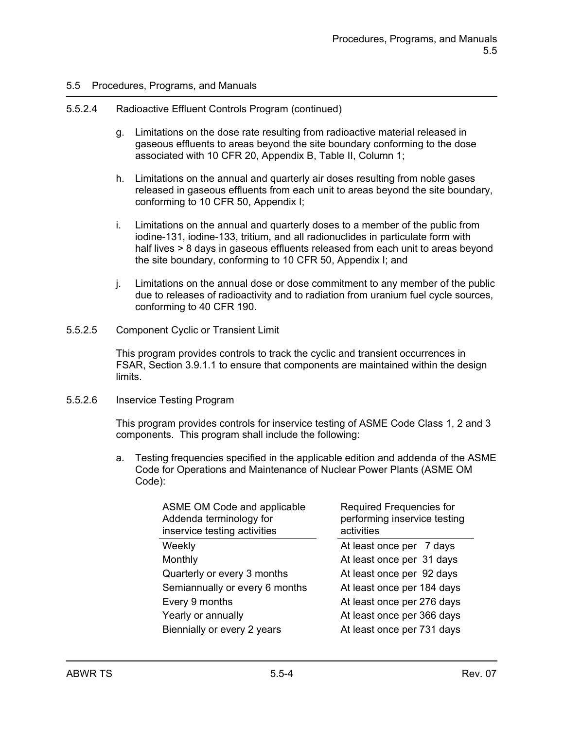#### 5.5.2.4 Radioactive Effluent Controls Program (continued)

- g. Limitations on the dose rate resulting from radioactive material released in gaseous effluents to areas beyond the site boundary conforming to the dose associated with 10 CFR 20, Appendix B, Table II, Column 1;
- h. Limitations on the annual and quarterly air doses resulting from noble gases released in gaseous effluents from each unit to areas beyond the site boundary, conforming to 10 CFR 50, Appendix I;
- i. Limitations on the annual and quarterly doses to a member of the public from iodine-131, iodine-133, tritium, and all radionuclides in particulate form with half lives > 8 days in gaseous effluents released from each unit to areas beyond the site boundary, conforming to 10 CFR 50, Appendix I; and
- j. Limitations on the annual dose or dose commitment to any member of the public due to releases of radioactivity and to radiation from uranium fuel cycle sources, conforming to 40 CFR 190.
- 5.5.2.5 Component Cyclic or Transient Limit

This program provides controls to track the cyclic and transient occurrences in FSAR, Section 3.9.1.1 to ensure that components are maintained within the design limits.

#### 5.5.2.6 Inservice Testing Program

This program provides controls for inservice testing of ASME Code Class 1, 2 and 3 components. This program shall include the following:

a. Testing frequencies specified in the applicable edition and addenda of the ASME Code for Operations and Maintenance of Nuclear Power Plants (ASME OM Code):

| ASME OM Code and applicable<br>Addenda terminology for<br>inservice testing activities | Required Frequencies for<br>performing inservice testing<br>activities |
|----------------------------------------------------------------------------------------|------------------------------------------------------------------------|
| Weekly                                                                                 | At least once per 7 days                                               |
| Monthly                                                                                | At least once per 31 days                                              |
| Quarterly or every 3 months                                                            | At least once per 92 days                                              |
| Semiannually or every 6 months                                                         | At least once per 184 days                                             |
| Every 9 months                                                                         | At least once per 276 days                                             |
| Yearly or annually                                                                     | At least once per 366 days                                             |
| Biennially or every 2 years                                                            | At least once per 731 days                                             |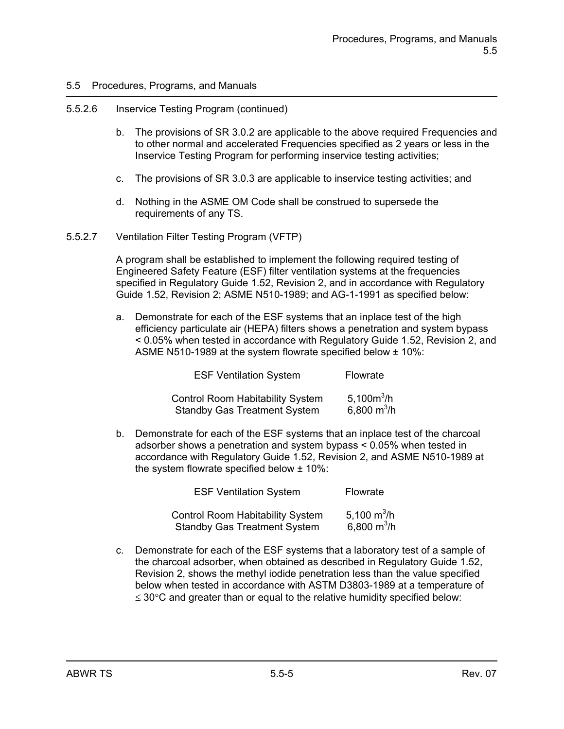#### 5.5.2.6 Inservice Testing Program (continued)

- b. The provisions of SR 3.0.2 are applicable to the above required Frequencies and to other normal and accelerated Frequencies specified as 2 years or less in the Inservice Testing Program for performing inservice testing activities;
- c. The provisions of SR 3.0.3 are applicable to inservice testing activities; and
- d. Nothing in the ASME OM Code shall be construed to supersede the requirements of any TS.
- 5.5.2.7 Ventilation Filter Testing Program (VFTP)

A program shall be established to implement the following required testing of Engineered Safety Feature (ESF) filter ventilation systems at the frequencies specified in Regulatory Guide 1.52, Revision 2, and in accordance with Regulatory Guide 1.52, Revision 2; ASME N510-1989; and AG-1-1991 as specified below:

a. Demonstrate for each of the ESF systems that an inplace test of the high efficiency particulate air (HEPA) filters shows a penetration and system bypass < 0.05% when tested in accordance with Regulatory Guide 1.52, Revision 2, and ASME N510-1989 at the system flowrate specified below ± 10%:

| <b>ESF Ventilation System</b>           | <b>Flowrate</b> |  |
|-----------------------------------------|-----------------|--|
| <b>Control Room Habitability System</b> | 5,100 $m^3/h$   |  |
| <b>Standby Gas Treatment System</b>     | 6,800 $m^3/h$   |  |

b. Demonstrate for each of the ESF systems that an inplace test of the charcoal adsorber shows a penetration and system bypass < 0.05% when tested in accordance with Regulatory Guide 1.52, Revision 2, and ASME N510-1989 at the system flowrate specified below ± 10%:

| <b>ESF Ventilation System</b>           | Flowrate      |  |  |
|-----------------------------------------|---------------|--|--|
| <b>Control Room Habitability System</b> | 5,100 $m^3/h$ |  |  |
| <b>Standby Gas Treatment System</b>     | 6,800 $m^3/h$ |  |  |

c. Demonstrate for each of the ESF systems that a laboratory test of a sample of the charcoal adsorber, when obtained as described in Regulatory Guide 1.52, Revision 2, shows the methyl iodide penetration less than the value specified below when tested in accordance with ASTM D3803-1989 at a temperature of  $\leq$  30 $\degree$ C and greater than or equal to the relative humidity specified below: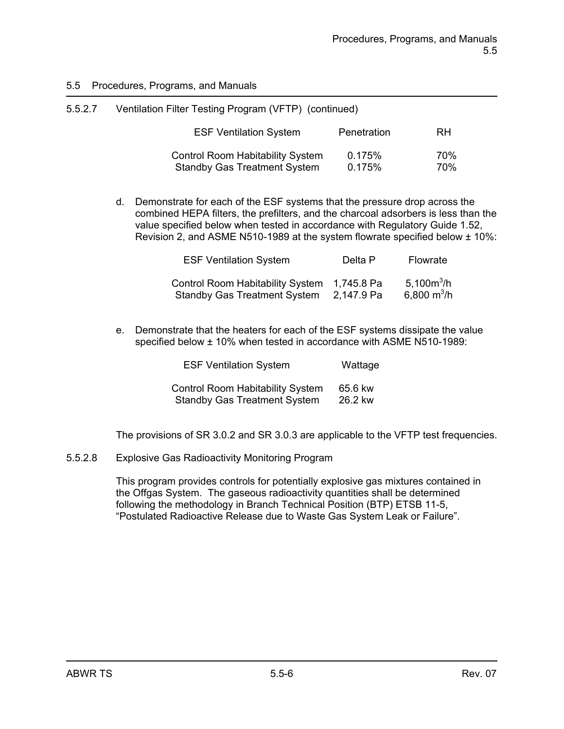| 5.5.2.7 | Ventilation Filter Testing Program (VFTP) (continued)                          |                  |            |
|---------|--------------------------------------------------------------------------------|------------------|------------|
|         | <b>ESF Ventilation System</b>                                                  | Penetration      | <b>RH</b>  |
|         | <b>Control Room Habitability System</b><br><b>Standby Gas Treatment System</b> | 0.175%<br>0.175% | 70%<br>70% |

d. Demonstrate for each of the ESF systems that the pressure drop across the combined HEPA filters, the prefilters, and the charcoal adsorbers is less than the value specified below when tested in accordance with Regulatory Guide 1.52, Revision 2, and ASME N510-1989 at the system flowrate specified below ± 10%:

| <b>ESF Ventilation System</b>       | Delta P    | <b>Flowrate</b> |
|-------------------------------------|------------|-----------------|
| Control Room Habitability System    | 1,745.8 Pa | 5,100 $m^3/h$   |
| <b>Standby Gas Treatment System</b> | 2,147.9 Pa | 6,800 $m^3/h$   |

e. Demonstrate that the heaters for each of the ESF systems dissipate the value specified below ± 10% when tested in accordance with ASME N510-1989:

| <b>ESF Ventilation System</b>           | Wattage |  |
|-----------------------------------------|---------|--|
| <b>Control Room Habitability System</b> | 65.6 kw |  |
| <b>Standby Gas Treatment System</b>     | 26.2 kw |  |

The provisions of SR 3.0.2 and SR 3.0.3 are applicable to the VFTP test frequencies.

5.5.2.8 Explosive Gas Radioactivity Monitoring Program

This program provides controls for potentially explosive gas mixtures contained in the Offgas System. The gaseous radioactivity quantities shall be determined following the methodology in Branch Technical Position (BTP) ETSB 11-5, "Postulated Radioactive Release due to Waste Gas System Leak or Failure".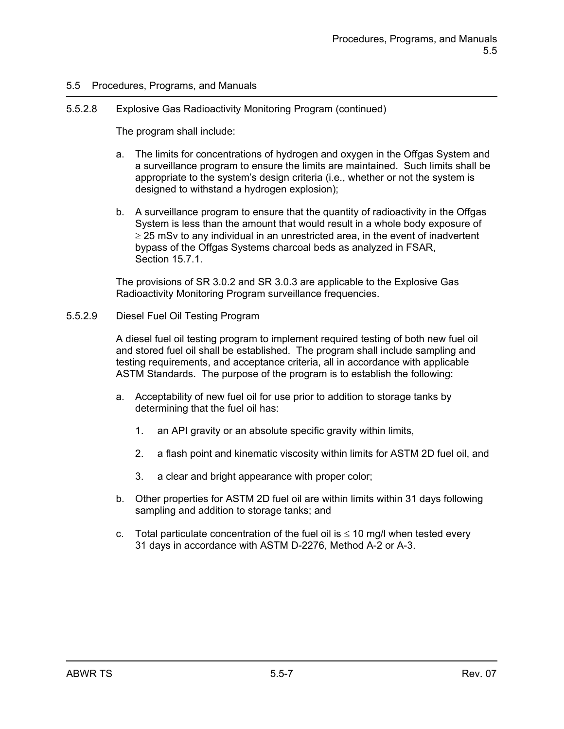### 5.5.2.8 Explosive Gas Radioactivity Monitoring Program (continued)

The program shall include:

- a. The limits for concentrations of hydrogen and oxygen in the Offgas System and a surveillance program to ensure the limits are maintained. Such limits shall be appropriate to the system's design criteria (i.e., whether or not the system is designed to withstand a hydrogen explosion);
- b. A surveillance program to ensure that the quantity of radioactivity in the Offgas System is less than the amount that would result in a whole body exposure of  $\geq$  25 mSv to any individual in an unrestricted area, in the event of inadvertent bypass of the Offgas Systems charcoal beds as analyzed in FSAR, Section 15.7.1.

The provisions of SR 3.0.2 and SR 3.0.3 are applicable to the Explosive Gas Radioactivity Monitoring Program surveillance frequencies.

#### 5.5.2.9 Diesel Fuel Oil Testing Program

A diesel fuel oil testing program to implement required testing of both new fuel oil and stored fuel oil shall be established. The program shall include sampling and testing requirements, and acceptance criteria, all in accordance with applicable ASTM Standards. The purpose of the program is to establish the following:

- a. Acceptability of new fuel oil for use prior to addition to storage tanks by determining that the fuel oil has:
	- 1. an API gravity or an absolute specific gravity within limits,
	- 2. a flash point and kinematic viscosity within limits for ASTM 2D fuel oil, and
	- 3. a clear and bright appearance with proper color;
- b. Other properties for ASTM 2D fuel oil are within limits within 31 days following sampling and addition to storage tanks; and
- c. Total particulate concentration of the fuel oil is  $\leq 10$  mg/l when tested every 31 days in accordance with ASTM D-2276, Method A-2 or A-3.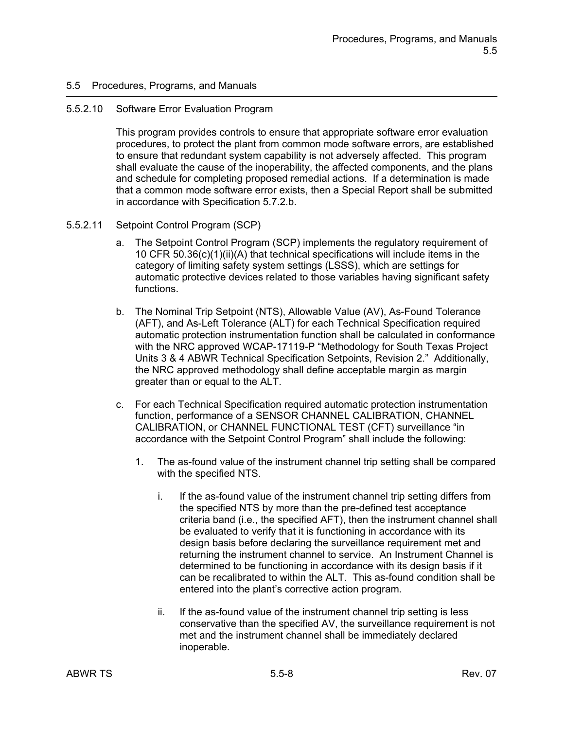#### 5.5.2.10 Software Error Evaluation Program

This program provides controls to ensure that appropriate software error evaluation procedures, to protect the plant from common mode software errors, are established to ensure that redundant system capability is not adversely affected. This program shall evaluate the cause of the inoperability, the affected components, and the plans and schedule for completing proposed remedial actions. If a determination is made that a common mode software error exists, then a Special Report shall be submitted in accordance with Specification 5.7.2.b.

#### 5.5.2.11 Setpoint Control Program (SCP)

- a. The Setpoint Control Program (SCP) implements the regulatory requirement of 10 CFR 50.36(c)(1)(ii)(A) that technical specifications will include items in the category of limiting safety system settings (LSSS), which are settings for automatic protective devices related to those variables having significant safety functions.
- b. The Nominal Trip Setpoint (NTS), Allowable Value (AV), As-Found Tolerance (AFT), and As-Left Tolerance (ALT) for each Technical Specification required automatic protection instrumentation function shall be calculated in conformance with the NRC approved WCAP-17119-P "Methodology for South Texas Project Units 3 & 4 ABWR Technical Specification Setpoints, Revision 2." Additionally, the NRC approved methodology shall define acceptable margin as margin greater than or equal to the ALT.
- c. For each Technical Specification required automatic protection instrumentation function, performance of a SENSOR CHANNEL CALIBRATION, CHANNEL CALIBRATION, or CHANNEL FUNCTIONAL TEST (CFT) surveillance "in accordance with the Setpoint Control Program" shall include the following:
	- 1. The as-found value of the instrument channel trip setting shall be compared with the specified NTS.
		- i. If the as-found value of the instrument channel trip setting differs from the specified NTS by more than the pre-defined test acceptance criteria band (i.e., the specified AFT), then the instrument channel shall be evaluated to verify that it is functioning in accordance with its design basis before declaring the surveillance requirement met and returning the instrument channel to service. An Instrument Channel is determined to be functioning in accordance with its design basis if it can be recalibrated to within the ALT. This as-found condition shall be entered into the plant's corrective action program.
		- ii. If the as-found value of the instrument channel trip setting is less conservative than the specified AV, the surveillance requirement is not met and the instrument channel shall be immediately declared inoperable.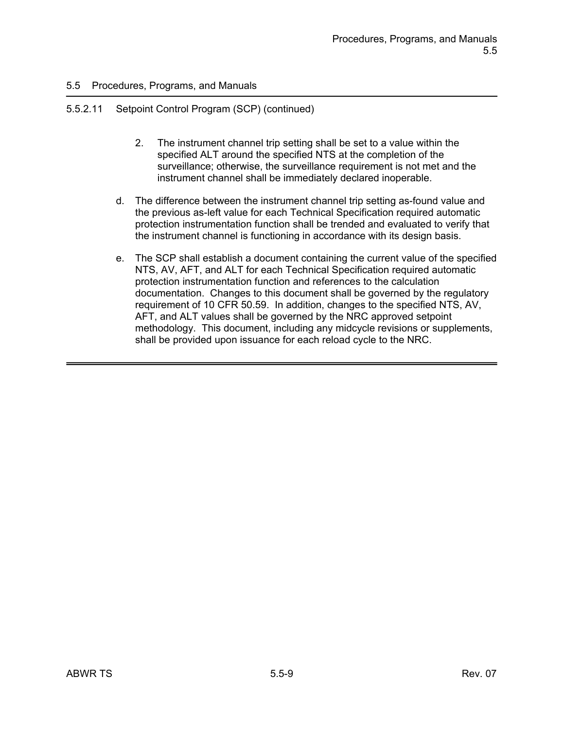## 5.5.2.11 Setpoint Control Program (SCP) (continued)

- 2. The instrument channel trip setting shall be set to a value within the specified ALT around the specified NTS at the completion of the surveillance; otherwise, the surveillance requirement is not met and the instrument channel shall be immediately declared inoperable.
- d. The difference between the instrument channel trip setting as-found value and the previous as-left value for each Technical Specification required automatic protection instrumentation function shall be trended and evaluated to verify that the instrument channel is functioning in accordance with its design basis.
- e. The SCP shall establish a document containing the current value of the specified NTS, AV, AFT, and ALT for each Technical Specification required automatic protection instrumentation function and references to the calculation documentation. Changes to this document shall be governed by the regulatory requirement of 10 CFR 50.59. In addition, changes to the specified NTS, AV, AFT, and ALT values shall be governed by the NRC approved setpoint methodology. This document, including any midcycle revisions or supplements, shall be provided upon issuance for each reload cycle to the NRC.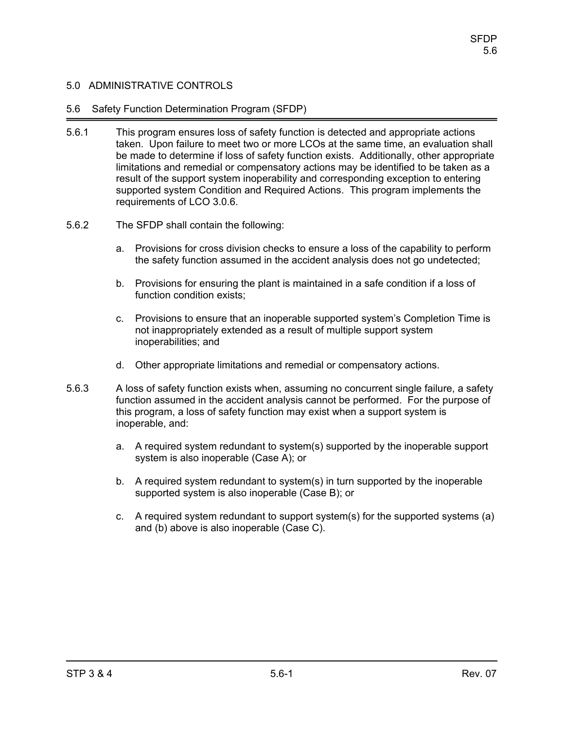### 5.6 Safety Function Determination Program (SFDP)

- 5.6.1 This program ensures loss of safety function is detected and appropriate actions taken. Upon failure to meet two or more LCOs at the same time, an evaluation shall be made to determine if loss of safety function exists. Additionally, other appropriate limitations and remedial or compensatory actions may be identified to be taken as a result of the support system inoperability and corresponding exception to entering supported system Condition and Required Actions. This program implements the requirements of LCO 3.0.6.
- 5.6.2 The SFDP shall contain the following:
	- a. Provisions for cross division checks to ensure a loss of the capability to perform the safety function assumed in the accident analysis does not go undetected;
	- b. Provisions for ensuring the plant is maintained in a safe condition if a loss of function condition exists;
	- c. Provisions to ensure that an inoperable supported system's Completion Time is not inappropriately extended as a result of multiple support system inoperabilities; and
	- d. Other appropriate limitations and remedial or compensatory actions.
- 5.6.3 A loss of safety function exists when, assuming no concurrent single failure, a safety function assumed in the accident analysis cannot be performed. For the purpose of this program, a loss of safety function may exist when a support system is inoperable, and:
	- a. A required system redundant to system(s) supported by the inoperable support system is also inoperable (Case A); or
	- b. A required system redundant to system(s) in turn supported by the inoperable supported system is also inoperable (Case B); or
	- c. A required system redundant to support system(s) for the supported systems (a) and (b) above is also inoperable (Case C).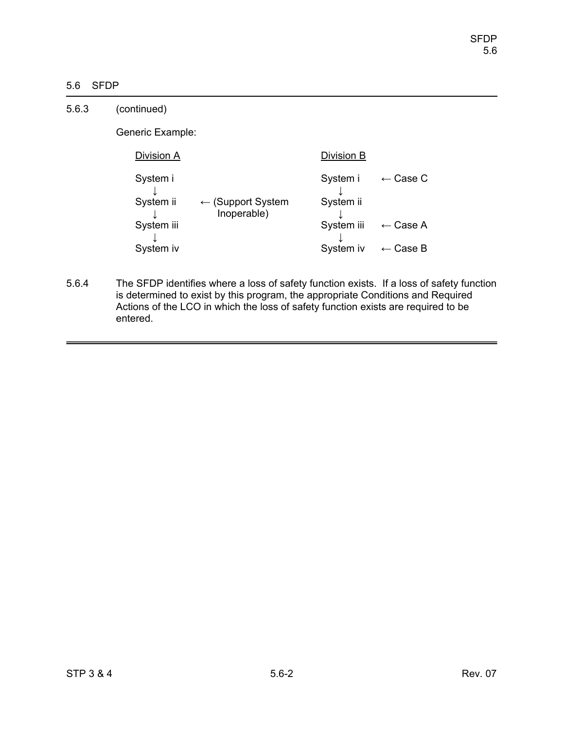# 5.6 SFDP

| 5.6.3 | (continued)           |                                             |                       |                     |
|-------|-----------------------|---------------------------------------------|-----------------------|---------------------|
|       | Generic Example:      |                                             |                       |                     |
|       | Division A            |                                             | Division B            |                     |
|       | System i<br>System ii | $\leftarrow$ (Support System<br>Inoperable) | System i<br>System ii | $\leftarrow$ Case C |
|       | System iii            |                                             | System iii            | $\leftarrow$ Case A |
|       | System iv             |                                             | System iv             | $\leftarrow$ Case B |

5.6.4 The SFDP identifies where a loss of safety function exists. If a loss of safety function is determined to exist by this program, the appropriate Conditions and Required Actions of the LCO in which the loss of safety function exists are required to be entered.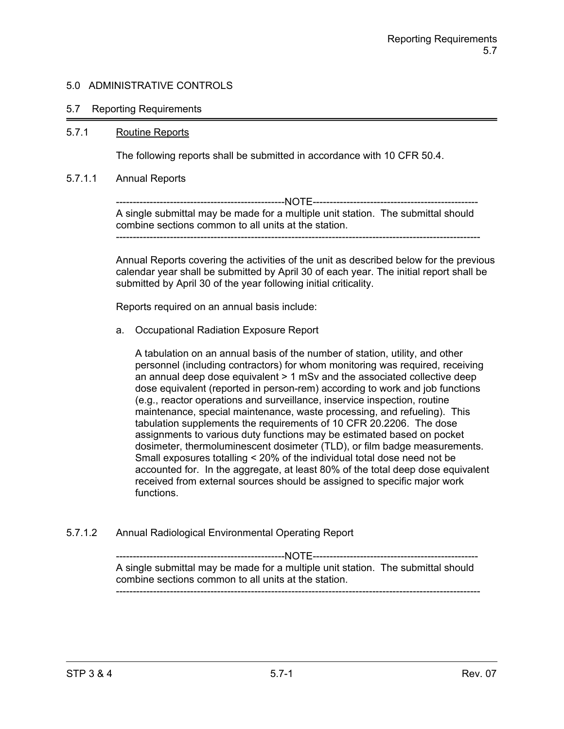### 5.7 Reporting Requirements

#### 5.7.1 Routine Reports

The following reports shall be submitted in accordance with 10 CFR 50.4.

#### 5.7.1.1 Annual Reports

--------------------------------------------------NOTE------------------------------------------------- A single submittal may be made for a multiple unit station. The submittal should combine sections common to all units at the station. ------------------------------------------------------------------------------------------------------------

Annual Reports covering the activities of the unit as described below for the previous calendar year shall be submitted by April 30 of each year. The initial report shall be submitted by April 30 of the year following initial criticality.

Reports required on an annual basis include:

a. Occupational Radiation Exposure Report

A tabulation on an annual basis of the number of station, utility, and other personnel (including contractors) for whom monitoring was required, receiving an annual deep dose equivalent > 1 mSv and the associated collective deep dose equivalent (reported in person-rem) according to work and job functions (e.g., reactor operations and surveillance, inservice inspection, routine maintenance, special maintenance, waste processing, and refueling). This tabulation supplements the requirements of 10 CFR 20.2206. The dose assignments to various duty functions may be estimated based on pocket dosimeter, thermoluminescent dosimeter (TLD), or film badge measurements. Small exposures totalling < 20% of the individual total dose need not be accounted for. In the aggregate, at least 80% of the total deep dose equivalent received from external sources should be assigned to specific major work functions.

5.7.1.2 Annual Radiological Environmental Operating Report

--------------------------------------------------NOTE------------------------------------------------- A single submittal may be made for a multiple unit station. The submittal should combine sections common to all units at the station. ------------------------------------------------------------------------------------------------------------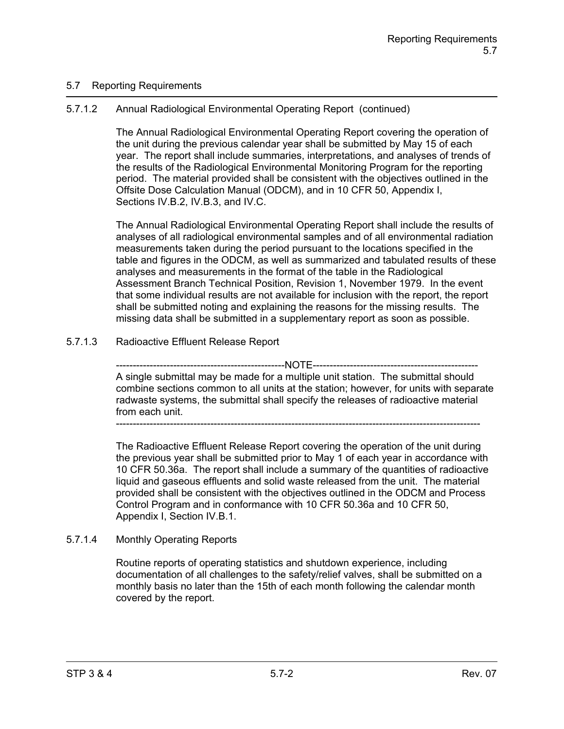## 5.7 Reporting Requirements

# 5.7.1.2 Annual Radiological Environmental Operating Report (continued)

The Annual Radiological Environmental Operating Report covering the operation of the unit during the previous calendar year shall be submitted by May 15 of each year. The report shall include summaries, interpretations, and analyses of trends of the results of the Radiological Environmental Monitoring Program for the reporting period. The material provided shall be consistent with the objectives outlined in the Offsite Dose Calculation Manual (ODCM), and in 10 CFR 50, Appendix I, Sections IV.B.2, IV.B.3, and IV.C.

The Annual Radiological Environmental Operating Report shall include the results of analyses of all radiological environmental samples and of all environmental radiation measurements taken during the period pursuant to the locations specified in the table and figures in the ODCM, as well as summarized and tabulated results of these analyses and measurements in the format of the table in the Radiological Assessment Branch Technical Position, Revision 1, November 1979. In the event that some individual results are not available for inclusion with the report, the report shall be submitted noting and explaining the reasons for the missing results. The missing data shall be submitted in a supplementary report as soon as possible.

# 5.7.1.3 Radioactive Effluent Release Report

--------NOTE------------A single submittal may be made for a multiple unit station. The submittal should combine sections common to all units at the station; however, for units with separate radwaste systems, the submittal shall specify the releases of radioactive material from each unit.

------------------------------------------------------------------------------------------------------------

The Radioactive Effluent Release Report covering the operation of the unit during the previous year shall be submitted prior to May 1 of each year in accordance with 10 CFR 50.36a. The report shall include a summary of the quantities of radioactive liquid and gaseous effluents and solid waste released from the unit. The material provided shall be consistent with the objectives outlined in the ODCM and Process Control Program and in conformance with 10 CFR 50.36a and 10 CFR 50, Appendix I, Section IV.B.1.

## 5.7.1.4 Monthly Operating Reports

Routine reports of operating statistics and shutdown experience, including documentation of all challenges to the safety/relief valves, shall be submitted on a monthly basis no later than the 15th of each month following the calendar month covered by the report.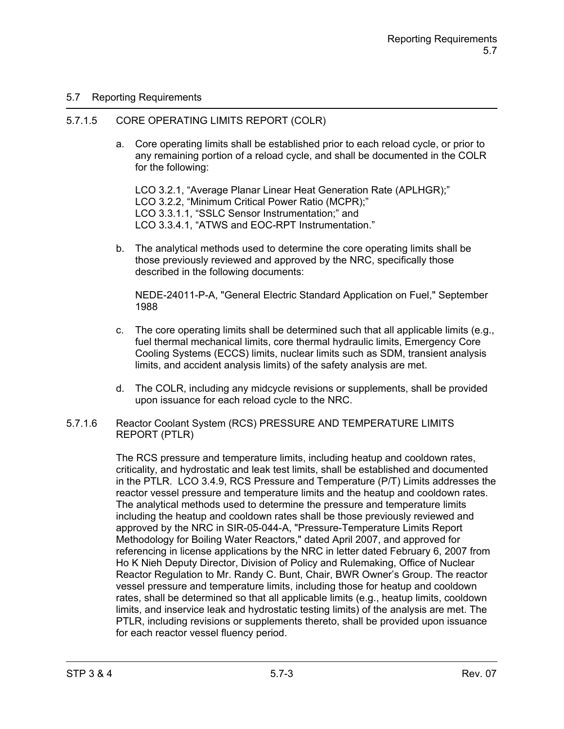## 5.7 Reporting Requirements

### 5.7.1.5 CORE OPERATING LIMITS REPORT (COLR)

a. Core operating limits shall be established prior to each reload cycle, or prior to any remaining portion of a reload cycle, and shall be documented in the COLR for the following:

LCO 3.2.1, "Average Planar Linear Heat Generation Rate (APLHGR);" LCO 3.2.2, "Minimum Critical Power Ratio (MCPR);" LCO 3.3.1.1, "SSLC Sensor Instrumentation;" and LCO 3.3.4.1, "ATWS and EOC-RPT Instrumentation."

b. The analytical methods used to determine the core operating limits shall be those previously reviewed and approved by the NRC, specifically those described in the following documents:

NEDE-24011-P-A, "General Electric Standard Application on Fuel," September 1988

- c. The core operating limits shall be determined such that all applicable limits  $(e.g.,)$ fuel thermal mechanical limits, core thermal hydraulic limits, Emergency Core Cooling Systems (ECCS) limits, nuclear limits such as SDM, transient analysis limits, and accident analysis limits) of the safety analysis are met.
- d. The COLR, including any midcycle revisions or supplements, shall be provided upon issuance for each reload cycle to the NRC.
- 5.7.1.6 Reactor Coolant System (RCS) PRESSURE AND TEMPERATURE LIMITS REPORT (PTLR)

The RCS pressure and temperature limits, including heatup and cooldown rates, criticality, and hydrostatic and leak test limits, shall be established and documented in the PTLR. LCO 3.4.9, RCS Pressure and Temperature (P/T) Limits addresses the reactor vessel pressure and temperature limits and the heatup and cooldown rates. The analytical methods used to determine the pressure and temperature limits including the heatup and cooldown rates shall be those previously reviewed and approved by the NRC in SIR-05-044-A, "Pressure-Temperature Limits Report Methodology for Boiling Water Reactors," dated April 2007, and approved for referencing in license applications by the NRC in letter dated February 6, 2007 from Ho K Nieh Deputy Director, Division of Policy and Rulemaking, Office of Nuclear Reactor Regulation to Mr. Randy C. Bunt, Chair, BWR Owner's Group. The reactor vessel pressure and temperature limits, including those for heatup and cooldown rates, shall be determined so that all applicable limits (e.g., heatup limits, cooldown limits, and inservice leak and hydrostatic testing limits) of the analysis are met. The PTLR, including revisions or supplements thereto, shall be provided upon issuance for each reactor vessel fluency period.